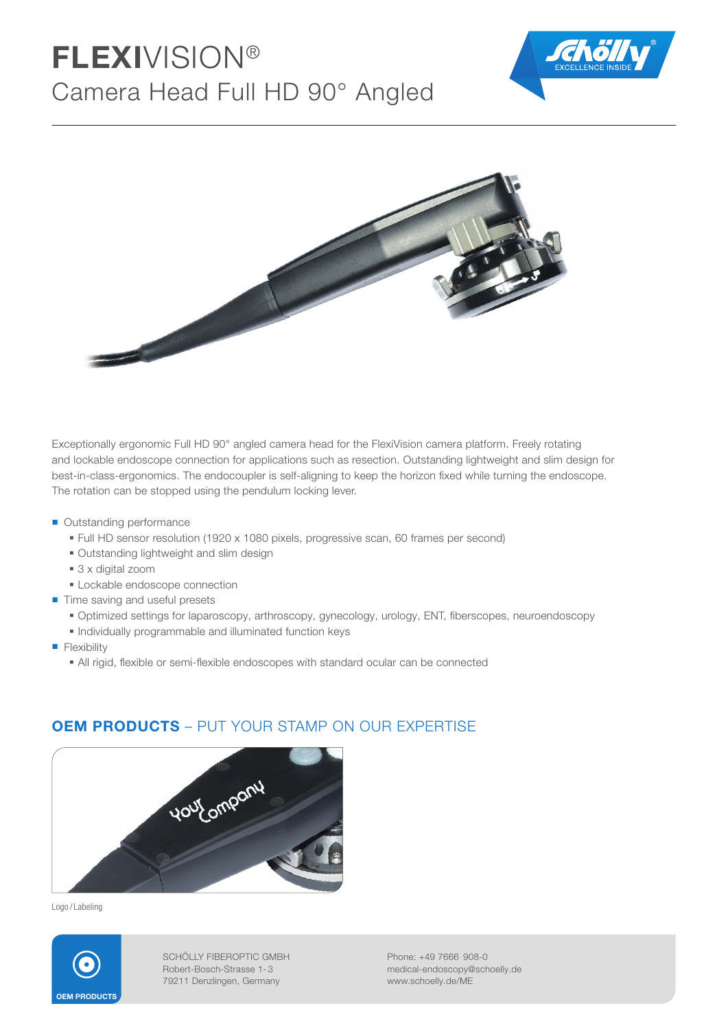# FLEXIVISION® Camera Head Full HD 90° Angled





Exceptionally ergonomic Full HD 90° angled camera head for the FlexiVision camera platform. Freely rotating and lockable endoscope connection for applications such as resection. Outstanding lightweight and slim design for best-in-class-ergonomics. The endocoupler is self-aligning to keep the horizon fixed while turning the endoscope. The rotation can be stopped using the pendulum locking lever.

- Outstanding performance
	- Full HD sensor resolution (1920 x 1080 pixels, progressive scan, 60 frames per second)
	- Outstanding lightweight and slim design
	- 3 x digital zoom
	- **Lockable endoscope connection**
- Time saving and useful presets
	- · Optimized settings for laparoscopy, arthroscopy, gynecology, urology, ENT, fiberscopes, neuroendoscopy
	- Individually programmable and illuminated function keys
- **Flexibility** 
	- All rigid, flexible or semi-flexible endoscopes with standard ocular can be connected



### **OEM PRODUCTS** – PUT YOUR STAMP ON OUR EXPERTISE

Logo / Labeling



SCHÖLLY FIBEROPTIC GMBH Robert-Bosch-Strasse 1- 3 79211 Denzlingen, Germany

Phone: +49 7666 908-0 medical-endoscopy@schoelly.de www.schoelly.de/ME